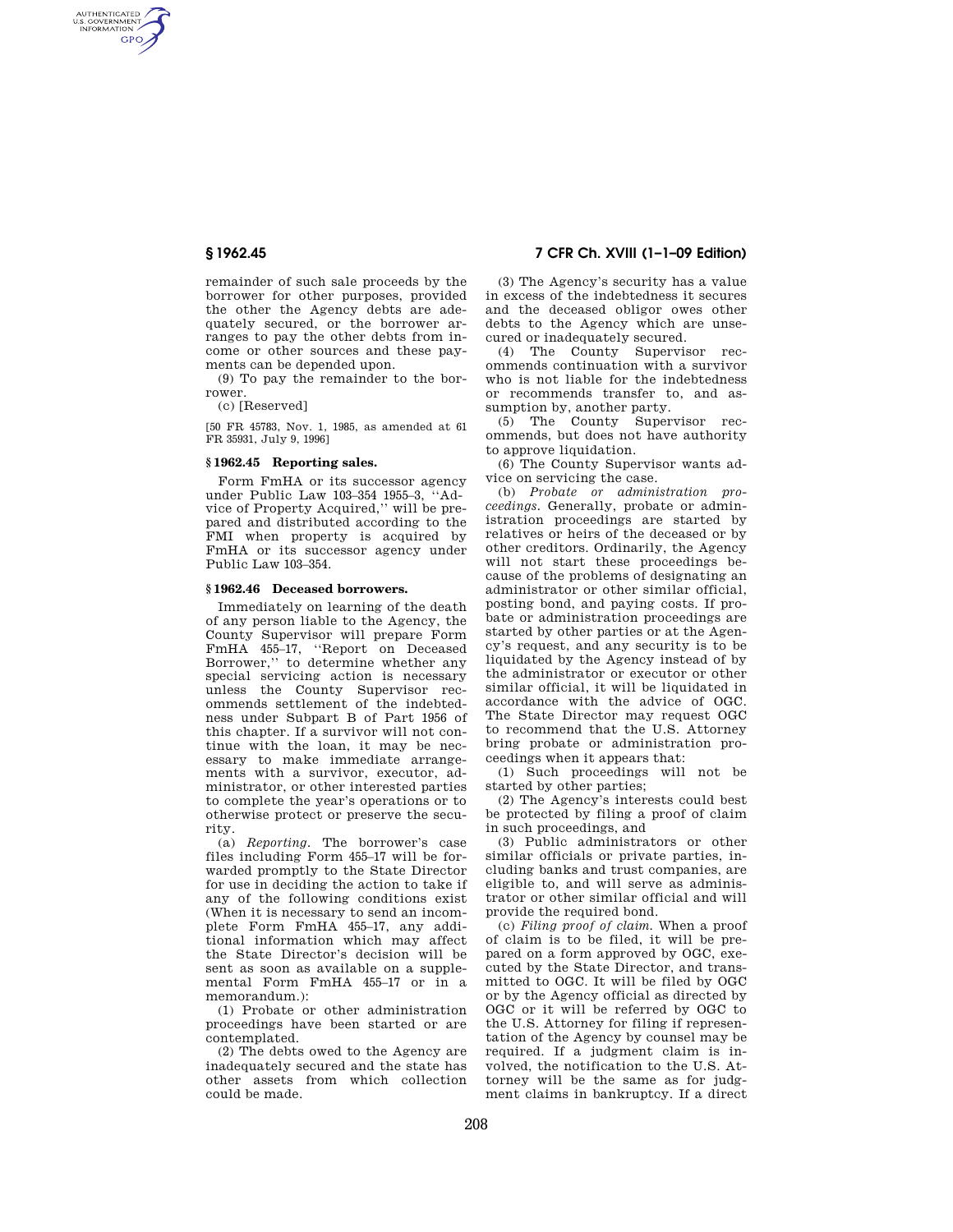AUTHENTICATED<br>U.S. GOVERNMENT<br>INFORMATION **GPO** 

**§ 1962.45 7 CFR Ch. XVIII (1–1–09 Edition)** 

remainder of such sale proceeds by the borrower for other purposes, provided the other the Agency debts are adequately secured, or the borrower arranges to pay the other debts from income or other sources and these payments can be depended upon.

(9) To pay the remainder to the borrower.

(c) [Reserved]

[50 FR 45783, Nov. 1, 1985, as amended at 61 FR 35931, July 9, 1996]

#### **§ 1962.45 Reporting sales.**

Form FmHA or its successor agency under Public Law 103–354 1955–3, ''Advice of Property Acquired,'' will be prepared and distributed according to the FMI when property is acquired by FmHA or its successor agency under Public Law 103–354.

#### **§ 1962.46 Deceased borrowers.**

Immediately on learning of the death of any person liable to the Agency, the County Supervisor will prepare Form FmHA 455–17, ''Report on Deceased Borrower,'' to determine whether any special servicing action is necessary unless the County Supervisor recommends settlement of the indebtedness under Subpart B of Part 1956 of this chapter. If a survivor will not continue with the loan, it may be necessary to make immediate arrangements with a survivor, executor, administrator, or other interested parties to complete the year's operations or to otherwise protect or preserve the security.

(a) *Reporting.* The borrower's case files including Form 455–17 will be forwarded promptly to the State Director for use in deciding the action to take if any of the following conditions exist (When it is necessary to send an incomplete Form FmHA 455–17, any additional information which may affect the State Director's decision will be sent as soon as available on a supplemental Form FmHA 455–17 or in a memorandum.):

(1) Probate or other administration proceedings have been started or are contemplated.

(2) The debts owed to the Agency are inadequately secured and the state has other assets from which collection could be made.

(3) The Agency's security has a value in excess of the indebtedness it secures and the deceased obligor owes other debts to the Agency which are unsecured or inadequately secured.

(4) The County Supervisor recommends continuation with a survivor who is not liable for the indebtedness or recommends transfer to, and assumption by, another party.

(5) The County Supervisor recommends, but does not have authority to approve liquidation.

(6) The County Supervisor wants advice on servicing the case.

(b) *Probate or administration proceedings.* Generally, probate or administration proceedings are started by relatives or heirs of the deceased or by other creditors. Ordinarily, the Agency will not start these proceedings because of the problems of designating an administrator or other similar official, posting bond, and paying costs. If probate or administration proceedings are started by other parties or at the Agency's request, and any security is to be liquidated by the Agency instead of by the administrator or executor or other similar official, it will be liquidated in accordance with the advice of OGC. The State Director may request OGC to recommend that the U.S. Attorney bring probate or administration proceedings when it appears that:

(1) Such proceedings will not be started by other parties;

(2) The Agency's interests could best be protected by filing a proof of claim in such proceedings, and

(3) Public administrators or other similar officials or private parties, including banks and trust companies, are eligible to, and will serve as administrator or other similar official and will provide the required bond.

(c) *Filing proof of claim.* When a proof of claim is to be filed, it will be prepared on a form approved by OGC, executed by the State Director, and transmitted to OGC. It will be filed by OGC or by the Agency official as directed by OGC or it will be referred by OGC to the U.S. Attorney for filing if representation of the Agency by counsel may be required. If a judgment claim is involved, the notification to the U.S. Attorney will be the same as for judgment claims in bankruptcy. If a direct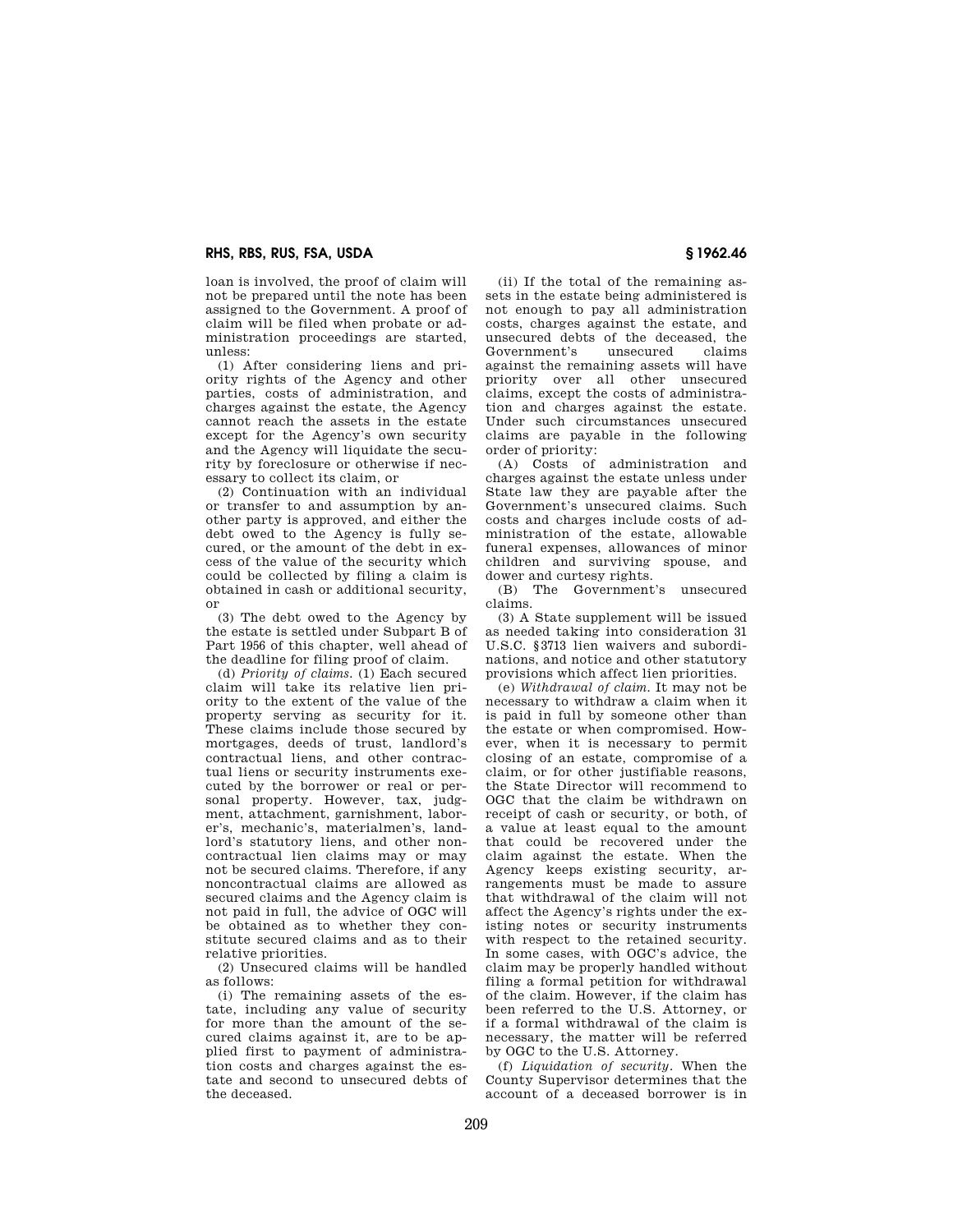# **RHS, RBS, RUS, FSA, USDA § 1962.46**

loan is involved, the proof of claim will not be prepared until the note has been assigned to the Government. A proof of claim will be filed when probate or administration proceedings are started, unless:

(1) After considering liens and priority rights of the Agency and other parties, costs of administration, and charges against the estate, the Agency cannot reach the assets in the estate except for the Agency's own security and the Agency will liquidate the security by foreclosure or otherwise if necessary to collect its claim, or

(2) Continuation with an individual or transfer to and assumption by another party is approved, and either the debt owed to the Agency is fully secured, or the amount of the debt in excess of the value of the security which could be collected by filing a claim is obtained in cash or additional security, or

(3) The debt owed to the Agency by the estate is settled under Subpart B of Part 1956 of this chapter, well ahead of the deadline for filing proof of claim.

(d) *Priority of claims.* (1) Each secured claim will take its relative lien priority to the extent of the value of the property serving as security for it. These claims include those secured by mortgages, deeds of trust, landlord's contractual liens, and other contractual liens or security instruments executed by the borrower or real or personal property. However, tax, judgment, attachment, garnishment, laborer's, mechanic's, materialmen's, landlord's statutory liens, and other noncontractual lien claims may or may not be secured claims. Therefore, if any noncontractual claims are allowed as secured claims and the Agency claim is not paid in full, the advice of OGC will be obtained as to whether they constitute secured claims and as to their relative priorities.

(2) Unsecured claims will be handled as follows:

(i) The remaining assets of the estate, including any value of security for more than the amount of the secured claims against it, are to be applied first to payment of administration costs and charges against the estate and second to unsecured debts of the deceased.

(ii) If the total of the remaining assets in the estate being administered is not enough to pay all administration costs, charges against the estate, and unsecured debts of the deceased, the Government's unsecured claims against the remaining assets will have priority over all other unsecured claims, except the costs of administration and charges against the estate. Under such circumstances unsecured claims are payable in the following order of priority:

(A) Costs of administration and charges against the estate unless under State law they are payable after the Government's unsecured claims. Such costs and charges include costs of administration of the estate, allowable funeral expenses, allowances of minor children and surviving spouse, and dower and curtesy rights.

(B) The Government's unsecured claims.

(3) A State supplement will be issued as needed taking into consideration 31 U.S.C. §3713 lien waivers and subordinations, and notice and other statutory provisions which affect lien priorities.

(e) *Withdrawal of claim.* It may not be necessary to withdraw a claim when it is paid in full by someone other than the estate or when compromised. However, when it is necessary to permit closing of an estate, compromise of a claim, or for other justifiable reasons, the State Director will recommend to OGC that the claim be withdrawn on receipt of cash or security, or both, of a value at least equal to the amount that could be recovered under the claim against the estate. When the Agency keeps existing security, arrangements must be made to assure that withdrawal of the claim will not affect the Agency's rights under the existing notes or security instruments with respect to the retained security. In some cases, with OGC's advice, the claim may be properly handled without filing a formal petition for withdrawal of the claim. However, if the claim has been referred to the U.S. Attorney, or if a formal withdrawal of the claim is necessary, the matter will be referred by OGC to the U.S. Attorney.

(f) *Liquidation of security.* When the County Supervisor determines that the account of a deceased borrower is in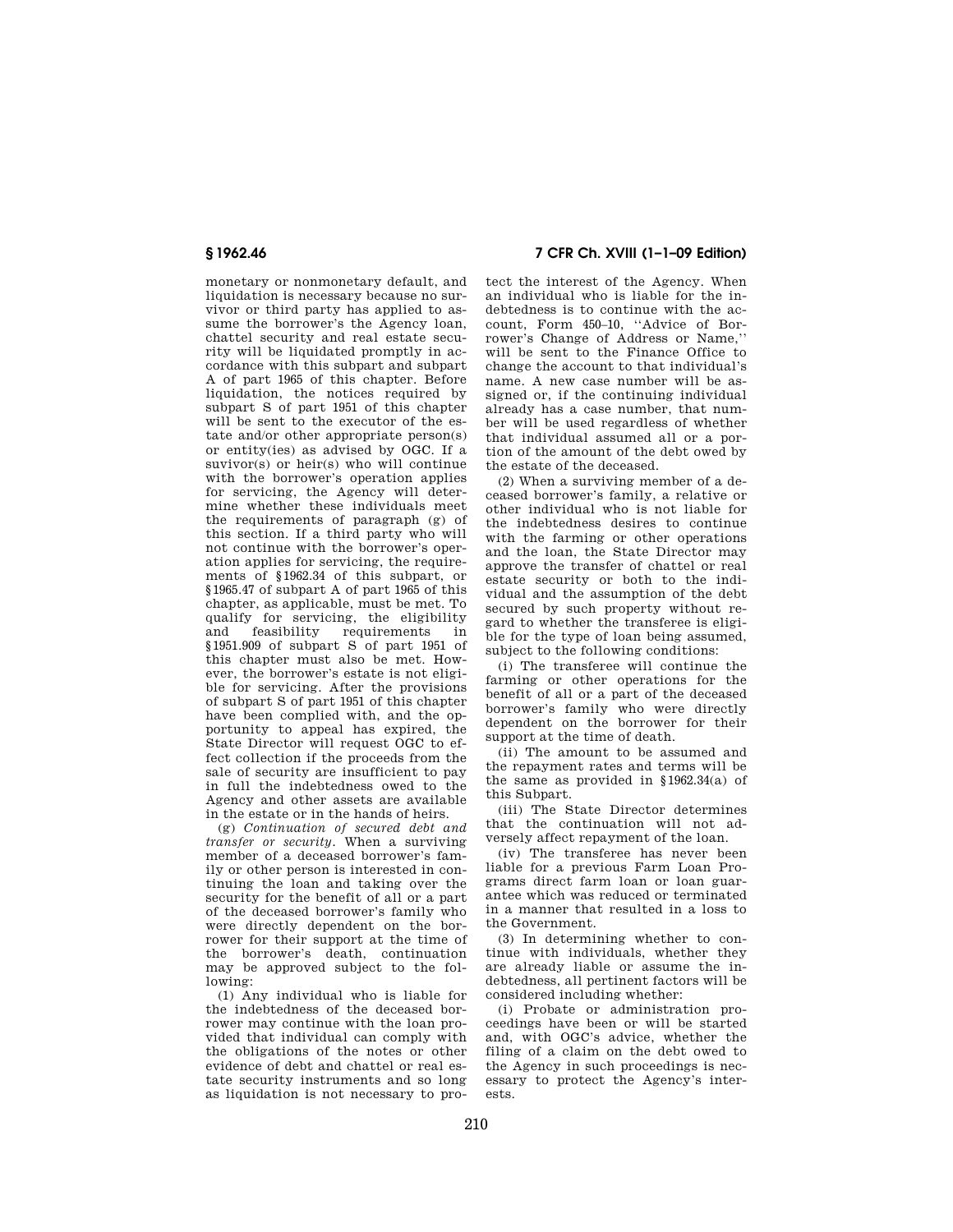monetary or nonmonetary default, and liquidation is necessary because no survivor or third party has applied to assume the borrower's the Agency loan, chattel security and real estate security will be liquidated promptly in accordance with this subpart and subpart A of part 1965 of this chapter. Before liquidation, the notices required by subpart S of part 1951 of this chapter will be sent to the executor of the estate and/or other appropriate person(s) or entity(ies) as advised by OGC. If a suvivor(s) or heir(s) who will continue with the borrower's operation applies for servicing, the Agency will determine whether these individuals meet the requirements of paragraph (g) of this section. If a third party who will not continue with the borrower's operation applies for servicing, the requirements of §1962.34 of this subpart, or §1965.47 of subpart A of part 1965 of this chapter, as applicable, must be met. To qualify for servicing, the eligibility<br>and feasibility requirements in and feasibility requirements in §1951.909 of subpart S of part 1951 of this chapter must also be met. However, the borrower's estate is not eligible for servicing. After the provisions of subpart S of part 1951 of this chapter have been complied with, and the opportunity to appeal has expired, the State Director will request OGC to effect collection if the proceeds from the sale of security are insufficient to pay in full the indebtedness owed to the Agency and other assets are available in the estate or in the hands of heirs.

(g) *Continuation of secured debt and transfer or security.* When a surviving member of a deceased borrower's family or other person is interested in continuing the loan and taking over the security for the benefit of all or a part of the deceased borrower's family who were directly dependent on the borrower for their support at the time of the borrower's death, continuation may be approved subject to the following:

(1) Any individual who is liable for the indebtedness of the deceased borrower may continue with the loan provided that individual can comply with the obligations of the notes or other evidence of debt and chattel or real estate security instruments and so long as liquidation is not necessary to pro-

# **§ 1962.46 7 CFR Ch. XVIII (1–1–09 Edition)**

tect the interest of the Agency. When an individual who is liable for the indebtedness is to continue with the account, Form 450–10, ''Advice of Borrower's Change of Address or Name,'' will be sent to the Finance Office to change the account to that individual's name. A new case number will be assigned or, if the continuing individual already has a case number, that number will be used regardless of whether that individual assumed all or a portion of the amount of the debt owed by the estate of the deceased.

(2) When a surviving member of a deceased borrower's family, a relative or other individual who is not liable for the indebtedness desires to continue with the farming or other operations and the loan, the State Director may approve the transfer of chattel or real estate security or both to the individual and the assumption of the debt secured by such property without regard to whether the transferee is eligible for the type of loan being assumed, subject to the following conditions:

(i) The transferee will continue the farming or other operations for the benefit of all or a part of the deceased borrower's family who were directly dependent on the borrower for their support at the time of death.

(ii) The amount to be assumed and the repayment rates and terms will be the same as provided in §1962.34(a) of this Subpart.

(iii) The State Director determines that the continuation will not adversely affect repayment of the loan.

(iv) The transferee has never been liable for a previous Farm Loan Programs direct farm loan or loan guarantee which was reduced or terminated in a manner that resulted in a loss to the Government.

(3) In determining whether to continue with individuals, whether they are already liable or assume the indebtedness, all pertinent factors will be considered including whether:

(i) Probate or administration proceedings have been or will be started and, with OGC's advice, whether the filing of a claim on the debt owed to the Agency in such proceedings is necessary to protect the Agency's interests.